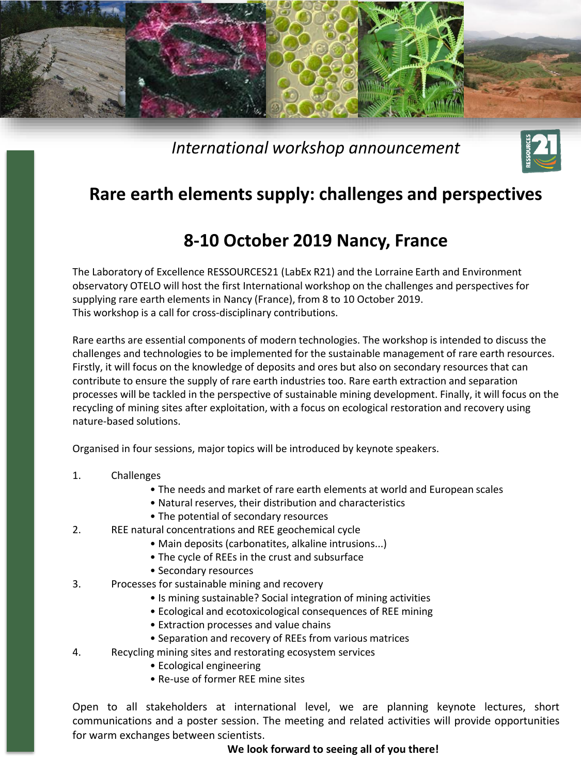

*International workshop announcement*



## **Rare earth elements supply: challenges and perspectives**

## **8-10 October 2019 Nancy, France**

The Laboratory of Excellence RESSOURCES21 (LabEx R21) and the Lorraine Earth and Environment observatory OTELO will host the first International workshop on the challenges and perspectives for supplying rare earth elements in Nancy (France), from 8 to 10 October 2019. This workshop is a call for cross-disciplinary contributions.

Rare earths are essential components of modern technologies. The workshop is intended to discuss the challenges and technologies to be implemented for the sustainable management of rare earth resources. Firstly, it will focus on the knowledge of deposits and ores but also on secondary resources that can contribute to ensure the supply of rare earth industries too. Rare earth extraction and separation processes will be tackled in the perspective of sustainable mining development. Finally, it will focus on the recycling of mining sites after exploitation, with a focus on ecological restoration and recovery using nature-based solutions.

Organised in four sessions, major topics will be introduced by keynote speakers.

- 1. Challenges
	- The needs and market of rare earth elements at world and European scales
	- Natural reserves, their distribution and characteristics
	- The potential of secondary resources
- 2. REE natural concentrations and REE geochemical cycle
	- Main deposits (carbonatites, alkaline intrusions...)
	- The cycle of REEs in the crust and subsurface
	- Secondary resources
- 3. Processes for sustainable mining and recovery
	- Is mining sustainable? Social integration of mining activities
	- Ecological and ecotoxicological consequences of REE mining
	- Extraction processes and value chains
	- Separation and recovery of REEs from various matrices
- 4. Recycling mining sites and restorating ecosystem services
	- Ecological engineering
	- Re-use of former REE mine sites

Open to all stakeholders at international level, we are planning keynote lectures, short communications and a poster session. The meeting and related activities will provide opportunities for warm exchanges between scientists.

**We look forward to seeing all of you there!**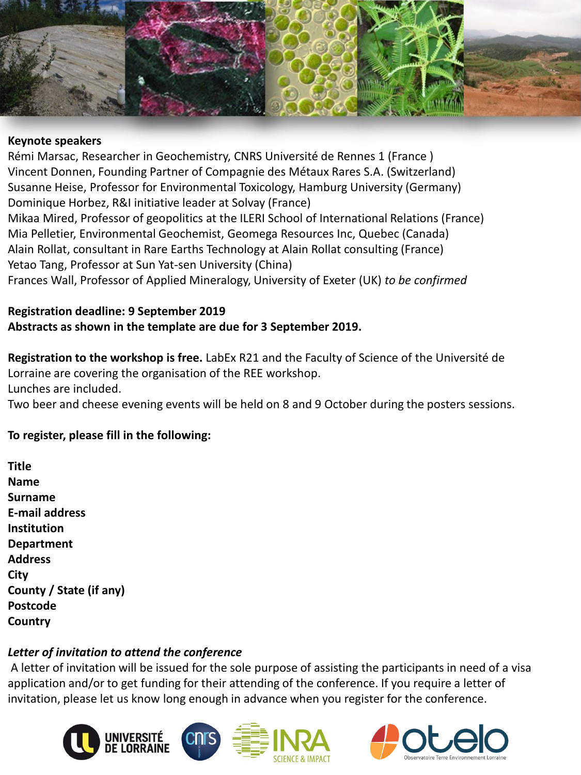

#### **Keynote speakers**

Rémi Marsac, Researcher in Geochemistry, CNRS Université de Rennes 1 (France ) Vincent Donnen, Founding Partner of Compagnie des Métaux Rares S.A. (Switzerland) Susanne Heise, Professor for Environmental Toxicology, Hamburg University (Germany) Dominique Horbez, R&I initiative leader at Solvay (France) Mikaa Mired, Professor of geopolitics at the ILERI School of International Relations (France) Mia Pelletier, Environmental Geochemist, Geomega Resources Inc, Quebec (Canada) Alain Rollat, consultant in Rare Earths Technology at Alain Rollat consulting (France) Yetao Tang, Professor at Sun Yat-sen University (China) Frances Wall, Professor of Applied Mineralogy, University of Exeter (UK) *to be confirmed*

**Registration deadline: 9 September 2019 Abstracts as shown in the template are due for 3 September 2019.**

**Registration to the workshop is free.** LabEx R21 and the Faculty of Science of the Université de Lorraine are covering the organisation of the REE workshop. Lunches are included.

Two beer and cheese evening events will be held on 8 and 9 October during the posters sessions.

#### **To register, please fill in the following:**

| Title                   |
|-------------------------|
| Name                    |
| Surname                 |
| <b>F-mail address</b>   |
| Institution             |
| <b>Department</b>       |
| <b>Address</b>          |
| City                    |
| County / State (if any) |
| Postcode                |
| Country                 |
|                         |

### *Letter of invitation to attend the conference*

A letter of invitation will be issued for the sole purpose of assisting the participants in need of a visa application and/or to get funding for their attending of the conference. If you require a letter of invitation, please let us know long enough in advance when you register for the conference.



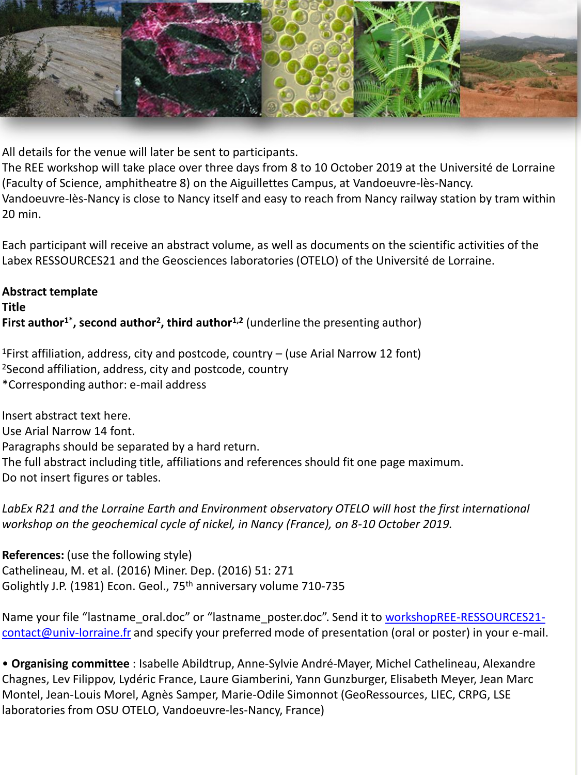

All details for the venue will later be sent to participants.

The REE workshop will take place over three days from 8 to 10 October 2019 at the Université de Lorraine (Faculty of Science, amphitheatre 8) on the Aiguillettes Campus, at Vandoeuvre-lès-Nancy. Vandoeuvre-lès-Nancy is close to Nancy itself and easy to reach from Nancy railway station by tram within 20 min.

Each participant will receive an abstract volume, as well as documents on the scientific activities of the Labex RESSOURCES21 and the Geosciences laboratories (OTELO) of the Université de Lorraine.

## **Abstract template Title First author1\*, second author<sup>2</sup> , third author1,2** (underline the presenting author)

<sup>1</sup>First affiliation, address, city and postcode, country  $-$  (use Arial Narrow 12 font) <sup>2</sup>Second affiliation, address, city and postcode, country \*Corresponding author: e-mail address

Insert abstract text here. Use Arial Narrow 14 font. Paragraphs should be separated by a hard return. The full abstract including title, affiliations and references should fit one page maximum. Do not insert figures or tables.

LabEx R21 and the Lorraine Earth and Environment observatory OTELO will host the first international *workshop on the geochemical cycle of nickel, in Nancy (France), on 8-10 October 2019.*

**References:** (use the following style) Cathelineau, M. et al. (2016) Miner. Dep. (2016) 51: 271 Golightly J.P. (1981) Econ. Geol., 75<sup>th</sup> anniversary volume 710-735

Name your file "lastname\_oral.doc" or "lastname\_poster.doc". Send it to workshopREE-RESSOURCES21contact@univ-lorraine.fr [and specify your preferred mode of presentation \(oral or poster\) in your e-mail.](mailto:workshopREE-RESSOURCES21-contact@univ-lorraine.fr)

• **Organising committee** : Isabelle Abildtrup, Anne-Sylvie André-Mayer, Michel Cathelineau, Alexandre Chagnes, Lev Filippov, Lydéric France, Laure Giamberini, Yann Gunzburger, Elisabeth Meyer, Jean Marc Montel, Jean-Louis Morel, Agnès Samper, Marie-Odile Simonnot (GeoRessources, LIEC, CRPG, LSE laboratories from OSU OTELO, Vandoeuvre-les-Nancy, France)